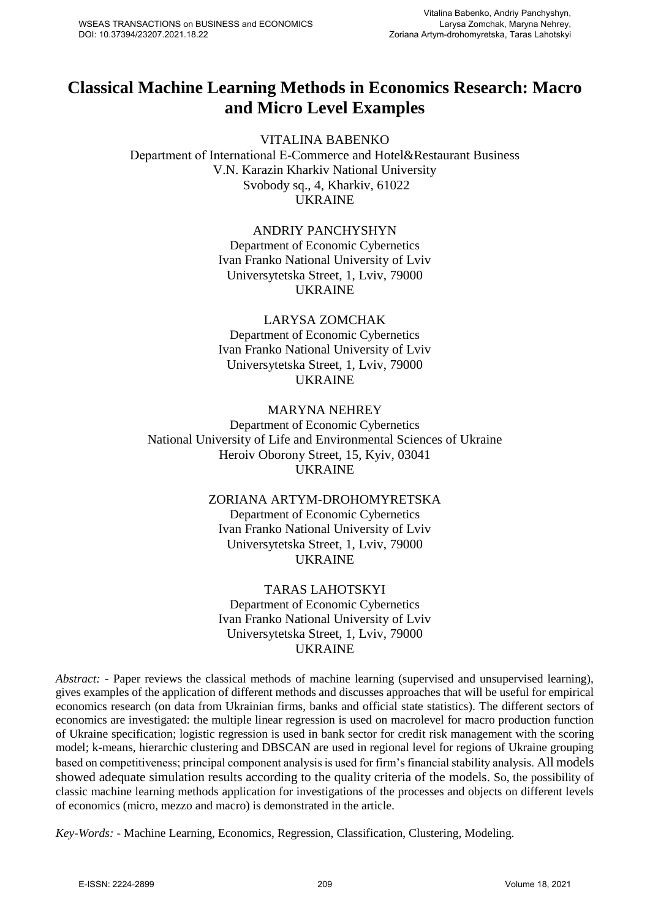# **Classical Machine Learning Methods in Economics Research: Macro and Micro Level Examples**

VITALINA BABENKO Department of International Е-Commerce and Hotel&Restaurant Business V.N. Karazin Kharkiv National University Svobody sq., 4, Kharkiv, 61022 UKRAINE

### ANDRIY PANCHYSHYN

Department of Economic Cybernetics Ivan Franko National University of Lviv Universytetska Street, 1, Lviv, 79000 UKRAINE

# LARYSA ZOMCHAK

Department of Economic Cybernetics Ivan Franko National University of Lviv Universytetska Street, 1, Lviv, 79000 UKRAINE

### MARYNA NEHREY Department of Economic Cybernetics National University of Life and Environmental Sciences of Ukraine Heroiv Oborony Street, 15, Kyiv, 03041 UKRAINE

### ZORIANA ARTYM-DROHOMYRETSKA

Department of Economic Cybernetics Ivan Franko National University of Lviv Universytetska Street, 1, Lviv, 79000 UKRAINE

## TARAS LAHOTSKYI

Department of Economic Cybernetics Ivan Franko National University of Lviv Universytetska Street, 1, Lviv, 79000 UKRAINE

*Abstract:* - Paper reviews the classical methods of machine learning (supervised and unsupervised learning), gives examples of the application of different methods and discusses approaches that will be useful for empirical economics research (on data from Ukrainian firms, banks and official state statistics). The different sectors of economics are investigated: the multiple linear regression is used on macrolevel for macro production function of Ukraine specification; logistic regression is used in bank sector for credit risk management with the scoring model; k-means, hierarchic clustering and DBSCAN are used in regional level for regions of Ukraine grouping based on competitiveness; principal component analysis is used for firm's financial stability analysis. All models showed adequate simulation results according to the quality criteria of the models. So, the possibility of classic machine learning methods application for investigations of the processes and objects on different levels of economics (micro, mezzo and macro) is demonstrated in the article.

*Key-Words:* - Machine Learning, Economics, Regression, Classification, Clustering, Modeling.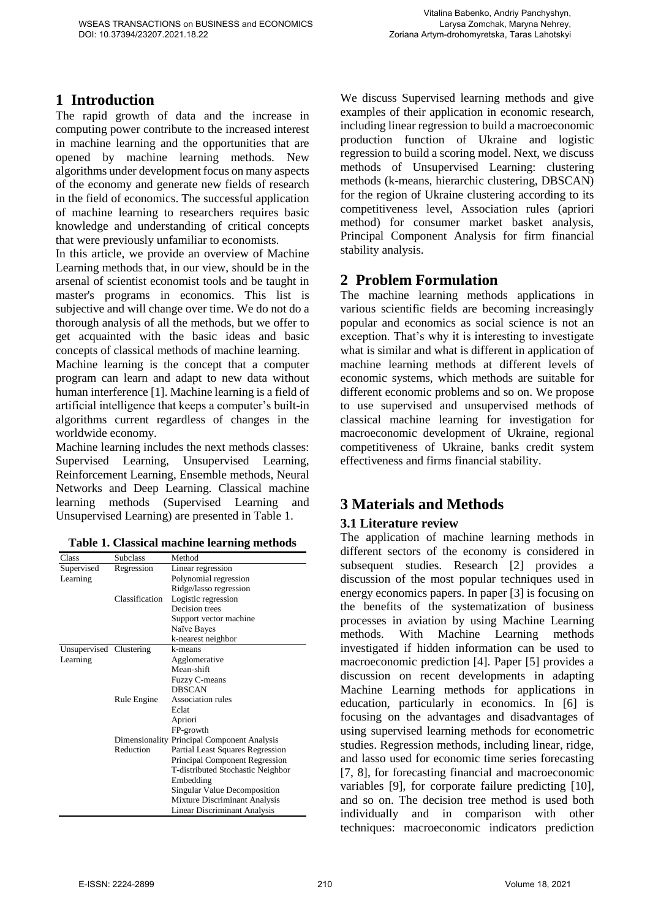## **1 Introduction**

The rapid growth of data and the increase in computing power contribute to the increased interest in machine learning and the opportunities that are opened by machine learning methods. New algorithms under development focus on many aspects of the economy and generate new fields of research in the field of economics. The successful application of machine learning to researchers requires basic knowledge and understanding of critical concepts that were previously unfamiliar to economists.

In this article, we provide an overview of Machine Learning methods that, in our view, should be in the arsenal of scientist economist tools and be taught in master's programs in economics. This list is subjective and will change over time. We do not do a thorough analysis of all the methods, but we offer to get acquainted with the basic ideas and basic concepts of classical methods of machine learning.

Machine learning is the concept that a computer program can learn and adapt to new data without human interference [1]. Machine learning is a field of artificial intelligence that keeps a computer's built-in algorithms current regardless of changes in the worldwide economy.

Machine learning includes the next methods classes: Supervised Learning, Unsupervised Learning, Reinforcement Learning, Ensemble methods, Neural Networks and Deep Learning. Classical machine learning methods (Supervised Learning and Unsupervised Learning) are presented in Table 1.

| Table 1. Classical machine learning methods |  |
|---------------------------------------------|--|
|---------------------------------------------|--|

| Class                   | <b>Subclass</b> | Method                                      |
|-------------------------|-----------------|---------------------------------------------|
| Supervised              | Regression      | Linear regression                           |
| Learning                |                 | Polynomial regression                       |
|                         |                 | Ridge/lasso regression                      |
|                         | Classification  | Logistic regression                         |
|                         |                 | Decision trees                              |
|                         |                 | Support vector machine                      |
|                         |                 | Naïve Bayes                                 |
|                         |                 | k-nearest neighbor                          |
| Unsupervised Clustering |                 | k-means                                     |
| Learning                |                 | Agglomerative                               |
|                         |                 | Mean-shift                                  |
|                         |                 | Fuzzy C-means                               |
|                         |                 | <b>DBSCAN</b>                               |
|                         | Rule Engine     | <b>Association rules</b>                    |
|                         |                 | Eclat                                       |
|                         |                 | Apriori                                     |
|                         |                 | FP-growth                                   |
|                         |                 | Dimensionality Principal Component Analysis |
|                         | Reduction       | Partial Least Squares Regression            |
|                         |                 | Principal Component Regression              |
|                         |                 | T-distributed Stochastic Neighbor           |
|                         |                 | Embedding                                   |
|                         |                 | <b>Singular Value Decomposition</b>         |
|                         |                 | Mixture Discriminant Analysis               |
|                         |                 | <b>Linear Discriminant Analysis</b>         |

We discuss Supervised learning methods and give examples of their application in economic research, including linear regression to build a macroeconomic production function of Ukraine and logistic regression to build a scoring model. Next, we discuss methods of Unsupervised Learning: clustering methods (k-means, hierarchic clustering, DBSCAN) for the region of Ukraine clustering according to its competitiveness level, Association rules (apriori method) for consumer market basket analysis, Principal Component Analysis for firm financial stability analysis.

# **2 Problem Formulation**

The machine learning methods applications in various scientific fields are becoming increasingly popular and economics as social science is not an exception. That's why it is interesting to investigate what is similar and what is different in application of machine learning methods at different levels of economic systems, which methods are suitable for different economic problems and so on. We propose to use supervised and unsupervised methods of classical machine learning for investigation for macroeconomic development of Ukraine, regional competitiveness of Ukraine, banks credit system effectiveness and firms financial stability.

# **3 Materials and Methods**

## **3.1 Literature review**

The application of machine learning methods in different sectors of the economy is considered in subsequent studies. Research [2] provides a discussion of the most popular techniques used in energy economics papers. In paper [3] is focusing on the benefits of the systematization of business processes in aviation by using Machine Learning methods. With Machine Learning methods investigated if hidden information can be used to macroeconomic prediction [4]. Paper [5] provides a discussion on recent developments in adapting Machine Learning methods for applications in education, particularly in economics. In [6] is focusing on the advantages and disadvantages of using supervised learning methods for econometric studies. Regression methods, including linear, ridge, and lasso used for economic time series forecasting [7, 8], for forecasting financial and macroeconomic variables [9], for corporate failure predicting [10], and so on. The decision tree method is used both individually and in comparison with other techniques: macroeconomic indicators prediction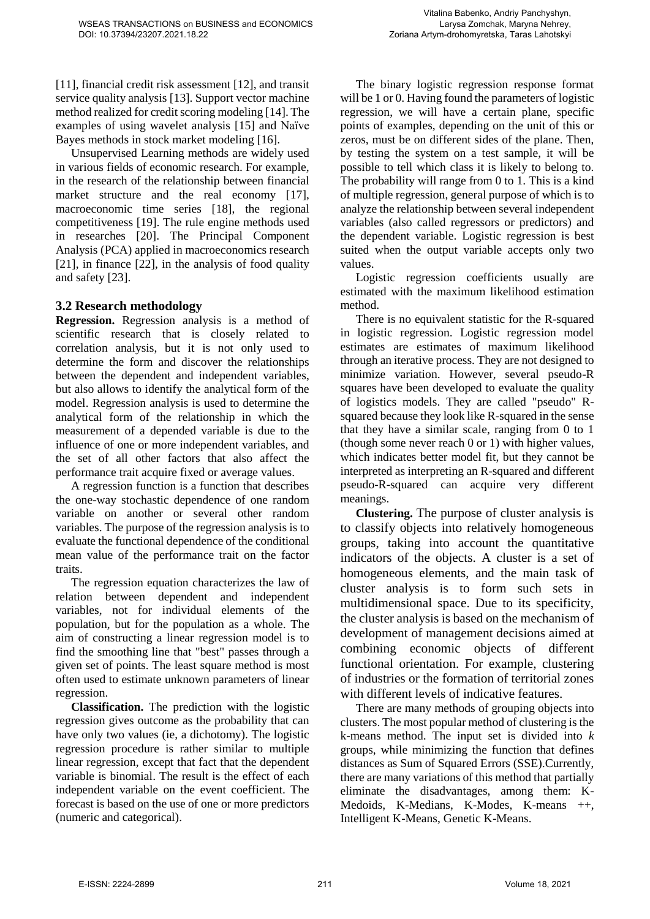[11], financial credit risk assessment [12], and transit service quality analysis [13]. Support vector machine method realized for credit scoring modeling [14]. The examples of using wavelet analysis [15] and Naïve Bayes methods in stock market modeling [16].

Unsupervised Learning methods are widely used in various fields of economic research. For example, in the research of the relationship between financial market structure and the real economy [17], macroeconomic time series [18], the regional competitiveness [19]. The rule engine methods used in researches [20]. The Principal Component Analysis (PCA) applied in macroeconomics research [21], in finance [22], in the analysis of food quality and safety [23].

#### **3.2 Research methodology**

**Regression.** Regression analysis is a method of scientific research that is closely related to correlation analysis, but it is not only used to determine the form and discover the relationships between the dependent and independent variables, but also allows to identify the analytical form of the model. Regression analysis is used to determine the analytical form of the relationship in which the measurement of a depended variable is due to the influence of one or more independent variables, and the set of all other factors that also affect the performance trait acquire fixed or average values.

A regression function is a function that describes the one-way stochastic dependence of one random variable on another or several other random variables. The purpose of the regression analysis is to evaluate the functional dependence of the conditional mean value of the performance trait on the factor traits.

The regression equation characterizes the law of relation between dependent and independent variables, not for individual elements of the population, but for the population as a whole. The aim of constructing a linear regression model is to find the smoothing line that "best" passes through a given set of points. The least square method is most often used to estimate unknown parameters of linear regression.

**Classification.** The prediction with the logistic regression gives outcome as the probability that can have only two values (ie, a dichotomy). The logistic regression procedure is rather similar to multiple linear regression, except that fact that the dependent variable is binomial. The result is the effect of each independent variable on the event coefficient. The forecast is based on the use of one or more predictors (numeric and categorical).

The binary logistic regression response format will be 1 or 0. Having found the parameters of logistic regression, we will have a certain plane, specific points of examples, depending on the unit of this or zeros, must be on different sides of the plane. Then, by testing the system on a test sample, it will be possible to tell which class it is likely to belong to. The probability will range from 0 to 1. This is a kind of multiple regression, general purpose of which is to analyze the relationship between several independent variables (also called regressors or predictors) and the dependent variable. Logistic regression is best suited when the output variable accepts only two values.

Logistic regression coefficients usually are estimated with the maximum likelihood estimation method.

There is no equivalent statistic for the R-squared in logistic regression. Logistic regression model estimates are estimates of maximum likelihood through an iterative process. They are not designed to minimize variation. However, several pseudo-R squares have been developed to evaluate the quality of logistics models. They are called "pseudo" Rsquared because they look like R-squared in the sense that they have a similar scale, ranging from 0 to 1 (though some never reach 0 or 1) with higher values, which indicates better model fit, but they cannot be interpreted as interpreting an R-squared and different pseudo-R-squared can acquire very different meanings.

**Clustering.** The purpose of cluster analysis is to classify objects into relatively homogeneous groups, taking into account the quantitative indicators of the objects. A cluster is a set of homogeneous elements, and the main task of cluster analysis is to form such sets in multidimensional space. Due to its specificity, the cluster analysis is based on the mechanism of development of management decisions aimed at combining economic objects of different functional orientation. For example, clustering of industries or the formation of territorial zones with different levels of indicative features.

There are many methods of grouping objects into clusters. The most popular method of clustering is the k-means method. The input set is divided into *k* groups, while minimizing the function that defines distances as Sum of Squared Errors (SSE).Currently, there are many variations of this method that partially eliminate the disadvantages, among them: K-Medoids, K-Medians, K-Modes, K-means ++, Intelligent K-Means, Genetic K-Means.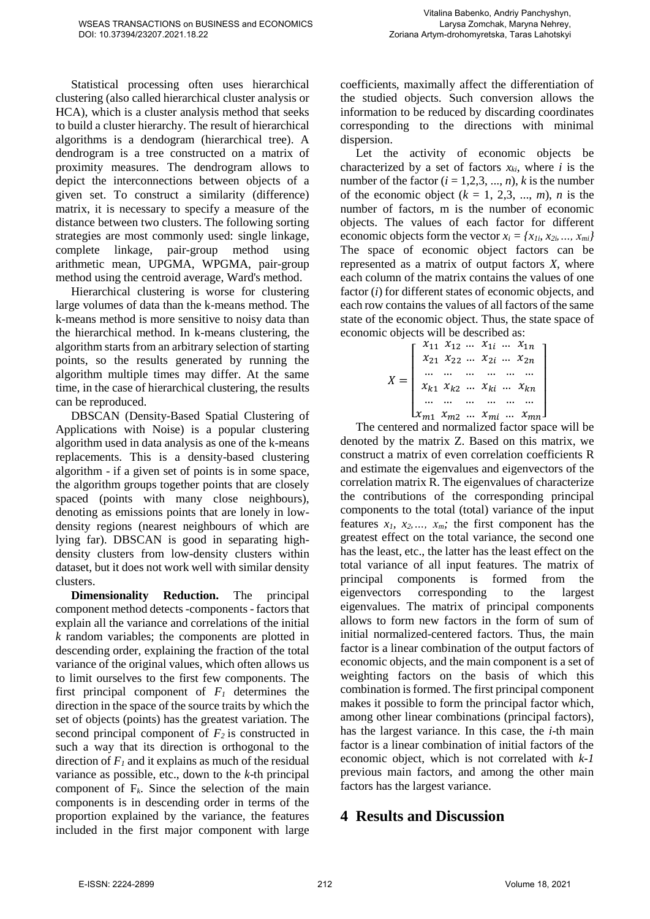Statistical processing often uses hierarchical clustering (also called hierarchical cluster analysis or HCA), which is a cluster analysis method that seeks to build a cluster hierarchy. The result of hierarchical algorithms is a dendogram (hierarchical tree). A dendrogram is a tree constructed on a matrix of proximity measures. The dendrogram allows to depict the interconnections between objects of a given set. To construct a similarity (difference) matrix, it is necessary to specify a measure of the distance between two clusters. The following sorting strategies are most commonly used: single linkage, complete linkage, pair-group method using arithmetic mean, UPGMA, WPGMA, pair-group method using the centroid average, Ward's method.

Hierarchical clustering is worse for clustering large volumes of data than the k-means method. The k-means method is more sensitive to noisy data than the hierarchical method. In k-means clustering, the algorithm starts from an arbitrary selection of starting points, so the results generated by running the algorithm multiple times may differ. At the same time, in the case of hierarchical clustering, the results can be reproduced.

DBSCAN (Density-Based Spatial Clustering of Applications with Noise) is a popular clustering algorithm used in data analysis as one of the k-means replacements. This is a density-based clustering algorithm - if a given set of points is in some space, the algorithm groups together points that are closely spaced (points with many close neighbours), denoting as emissions points that are lonely in lowdensity regions (nearest neighbours of which are lying far). DBSCAN is good in separating highdensity clusters from low-density clusters within dataset, but it does not work well with similar density clusters.

**Dimensionality Reduction.** The principal component method detects -components - factors that explain all the variance and correlations of the initial *k* random variables; the components are plotted in descending order, explaining the fraction of the total variance of the original values, which often allows us to limit ourselves to the first few components. The first principal component of  $F_I$  determines the direction in the space of the source traits by which the set of objects (points) has the greatest variation. The second principal component of  $F_2$  is constructed in such a way that its direction is orthogonal to the direction of  $F_I$  and it explains as much of the residual variance as possible, etc., down to the *k*-th principal component of  $F_k$ . Since the selection of the main components is in descending order in terms of the proportion explained by the variance, the features included in the first major component with large

coefficients, maximally affect the differentiation of the studied objects. Such conversion allows the information to be reduced by discarding coordinates corresponding to the directions with minimal dispersion.

Let the activity of economic objects be characterized by a set of factors  $x_{ki}$ , where *i* is the number of the factor  $(i = 1,2,3, ..., n)$ , *k* is the number of the economic object  $(k = 1, 2, 3, ..., m)$ , *n* is the number of factors, m is the number of economic objects. The values of each factor for different economic objects form the vector  $x_i = \{x_{1i}, x_{2i}, \ldots, x_{mi}\}$ The space of economic object factors can be represented as a matrix of output factors *X*, where each column of the matrix contains the values of one factor (*i*) for different states of economic objects, and each row contains the values of all factors of the same state of the economic object. Thus, the state space of economic objects will be described as:

$$
X = \begin{bmatrix} x_{11} & x_{12} & \dots & x_{1i} & \dots & x_{1n} \\ x_{21} & x_{22} & \dots & x_{2i} & \dots & x_{2n} \\ \dots & \dots & \dots & \dots & \dots & \dots \\ x_{k1} & x_{k2} & \dots & x_{k i} & \dots & x_{k n} \\ \dots & \dots & \dots & \dots & \dots & \dots \\ x_{m1} & x_{m2} & \dots & x_{mi} & \dots & x_{mn} \end{bmatrix}
$$

The centered and normalized factor space will be denoted by the matrix Z. Based on this matrix, we construct a matrix of even correlation coefficients R and estimate the eigenvalues and eigenvectors of the correlation matrix R. The eigenvalues of characterize the contributions of the corresponding principal components to the total (total) variance of the input features  $x_1$ ,  $x_2$ ,  $x_3$ ,  $x_m$ ; the first component has the greatest effect on the total variance, the second one has the least, etc., the latter has the least effect on the total variance of all input features. The matrix of principal components is formed from the eigenvectors corresponding to the largest eigenvalues. The matrix of principal components allows to form new factors in the form of sum of initial normalized-centered factors. Thus, the main factor is a linear combination of the output factors of economic objects, and the main component is a set of weighting factors on the basis of which this combination is formed. The first principal component makes it possible to form the principal factor which, among other linear combinations (principal factors), has the largest variance. In this case, the *i*-th main factor is a linear combination of initial factors of the economic object, which is not correlated with *k-1* previous main factors, and among the other main factors has the largest variance.

# **4 Results and Discussion**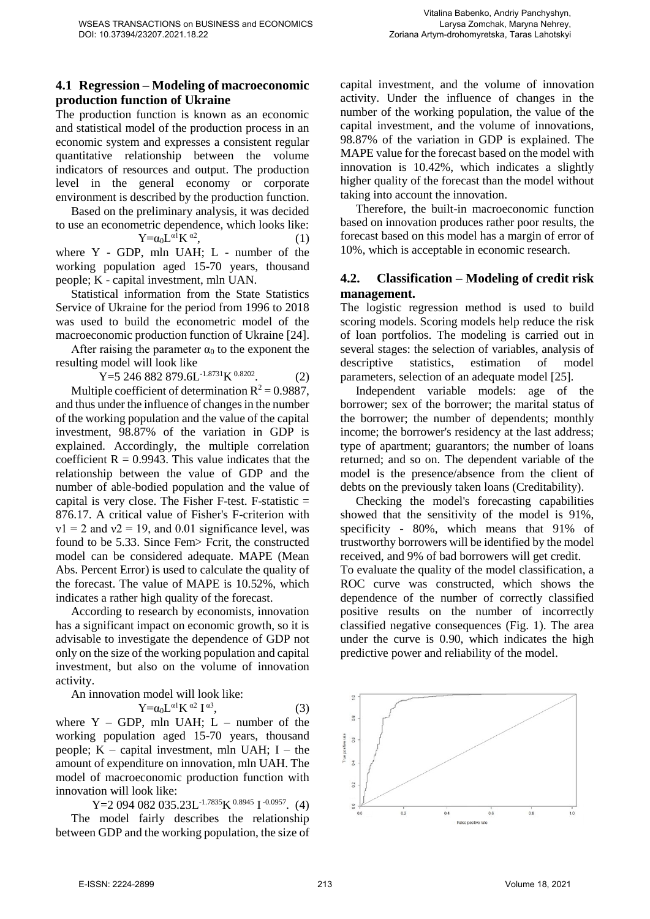### **4.1 Regression – Modeling of macroeconomic production function of Ukraine**

The production function is known as an economic and statistical model of the production process in an economic system and expresses a consistent regular quantitative relationship between the volume indicators of resources and output. The production level in the general economy or corporate environment is described by the production function.

Based on the preliminary analysis, it was decided to use an econometric dependence, which looks like:  $Y = \alpha_0 L^{\alpha 1} K^{\alpha 2}$ 

 $\hspace{1.6cm}$ , (1) where Y - GDP, mln UAH; L - number of the working population aged 15-70 years, thousand people; K - capital investment, mln UAN.

Statistical information from the State Statistics Service of Ukraine for the period from 1996 to 2018 was used to build the econometric model of the macroeconomic production function of Ukraine [24].

After raising the parameter  $\alpha_0$  to the exponent the resulting model will look like

Y=5 246 882 879.6L<sup>-1.8731</sup>K<sup>0.8202</sup>.  $(2)$ 

Multiple coefficient of determination  $R^2 = 0.9887$ , and thus under the influence of changes in the number of the working population and the value of the capital investment, 98.87% of the variation in GDP is explained. Accordingly, the multiple correlation coefficient  $R = 0.9943$ . This value indicates that the relationship between the value of GDP and the number of able-bodied population and the value of capital is very close. The Fisher F-test. F-statistic  $=$ 876.17. A critical value of Fisher's F-criterion with  $v1 = 2$  and  $v2 = 19$ , and 0.01 significance level, was found to be 5.33. Since Fem> Fcrit, the constructed model can be considered adequate. MAPE (Mean Abs. Percent Error) is used to calculate the quality of the forecast. The value of MAPE is 10.52%, which indicates a rather high quality of the forecast.

According to research by economists, innovation has a significant impact on economic growth, so it is advisable to investigate the dependence of GDP not only on the size of the working population and capital investment, but also on the volume of innovation activity.

An innovation model will look like:

$$
Y = \alpha_0 L^{\alpha 1} K^{\alpha 2} I^{\alpha 3},
$$

 $(3)$ where  $Y - GDP$ , mln UAH;  $L - number of the$ working population aged 15-70 years, thousand people;  $K -$  capital investment, mln UAH;  $I -$  the amount of expenditure on innovation, mln UAH. The model of macroeconomic production function with innovation will look like:

 $Y=2094082035.23L^{-1.7835}K^{0.8945}I^{-0.0957}$ . (4) The model fairly describes the relationship between GDP and the working population, the size of capital investment, and the volume of innovation activity. Under the influence of changes in the number of the working population, the value of the capital investment, and the volume of innovations, 98.87% of the variation in GDP is explained. The MAPE value for the forecast based on the model with innovation is 10.42%, which indicates a slightly higher quality of the forecast than the model without taking into account the innovation.

Therefore, the built-in macroeconomic function based on innovation produces rather poor results, the forecast based on this model has a margin of error of 10%, which is acceptable in economic research.

### **4.2. Classification – Modeling of credit risk management.**

The logistic regression method is used to build scoring models. Scoring models help reduce the risk of loan portfolios. The modeling is carried out in several stages: the selection of variables, analysis of descriptive statistics, estimation of model parameters, selection of an adequate model [25].

Independent variable models: age of the borrower; sex of the borrower; the marital status of the borrower; the number of dependents; monthly income; the borrower's residency at the last address; type of apartment; guarantors; the number of loans returned; and so on. The dependent variable of the model is the presence/absence from the client of debts on the previously taken loans (Creditability).

Checking the model's forecasting capabilities showed that the sensitivity of the model is 91%, specificity - 80%, which means that 91% of trustworthy borrowers will be identified by the model received, and 9% of bad borrowers will get credit.

To evaluate the quality of the model classification, a ROC curve was constructed, which shows the dependence of the number of correctly classified positive results on the number of incorrectly classified negative consequences (Fig. 1). The area under the curve is 0.90, which indicates the high predictive power and reliability of the model.

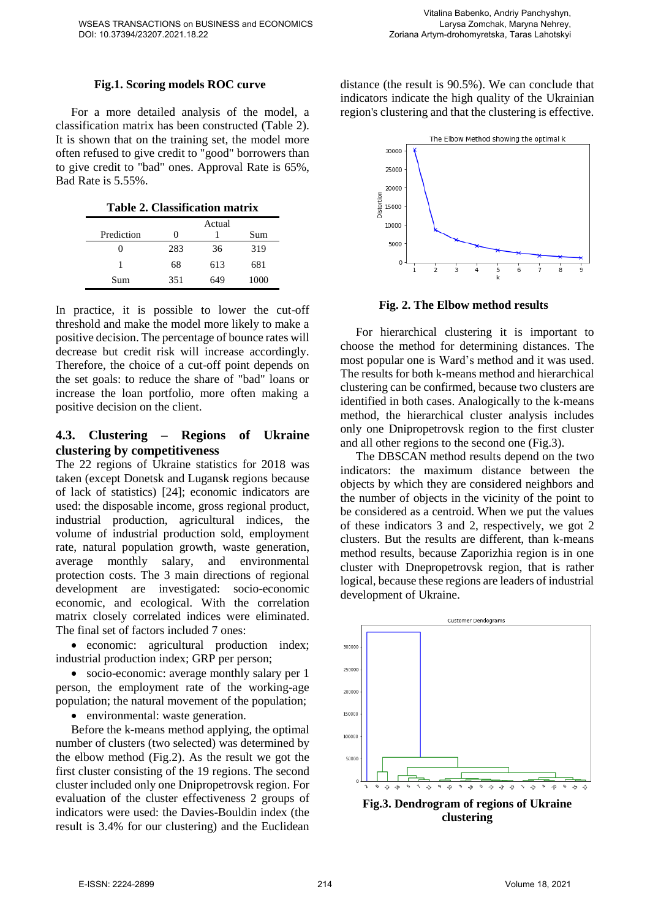#### **Fig.1. Scoring models ROC curve**

For a more detailed analysis of the model, a classification matrix has been constructed (Table 2). It is shown that on the training set, the model more often refused to give credit to "good" borrowers than to give credit to "bad" ones. Approval Rate is 65%, Bad Rate is 5.55%.

**Table 2. Classification matrix**

|            | Actual |     |      |
|------------|--------|-----|------|
| Prediction | 0      |     | Sum  |
|            | 283    | 36  | 319  |
|            | 68     | 613 | 681  |
| Sum        | 351    | 649 | 1000 |

In practice, it is possible to lower the cut-off threshold and make the model more likely to make a positive decision. The percentage of bounce rates will decrease but credit risk will increase accordingly. Therefore, the choice of a cut-off point depends on the set goals: to reduce the share of "bad" loans or increase the loan portfolio, more often making a positive decision on the client.

#### **4.3. Clustering – Regions of Ukraine clustering by competitiveness**

The 22 regions of Ukraine statistics for 2018 was taken (except Donetsk and Lugansk regions because of lack of statistics) [24]; economic indicators are used: the disposable income, gross regional product, industrial production, agricultural indices, the volume of industrial production sold, employment rate, natural population growth, waste generation, average monthly salary, and environmental protection costs. The 3 main directions of regional development are investigated: socio-economic economic, and ecological. With the correlation matrix closely correlated indices were eliminated. The final set of factors included 7 ones:

 economic: agricultural production index; industrial production index; GRP per person;

• socio-economic: average monthly salary per 1 person, the employment rate of the working-age population; the natural movement of the population;

environmental: waste generation.

Before the k-means method applying, the optimal number of clusters (two selected) was determined by the elbow method (Fig.2). As the result we got the first cluster consisting of the 19 regions. The second cluster included only one Dnipropetrovsk region. For evaluation of the cluster effectiveness 2 groups of indicators were used: the Davies-Bouldin index (the result is 3.4% for our clustering) and the Euclidean distance (the result is 90.5%). We can conclude that indicators indicate the high quality of the Ukrainian region's clustering and that the clustering is effective.



**Fig. 2. The Elbow method results**

For hierarchical clustering it is important to choose the method for determining distances. The most popular one is Ward's method and it was used. The results for both k-means method and hierarchical clustering can be confirmed, because two clusters are identified in both cases. Analogically to the k-means method, the hierarchical cluster analysis includes only one Dnipropetrovsk region to the first cluster and all other regions to the second one (Fig.3).

The DBSCAN method results depend on the two indicators: the maximum distance between the objects by which they are considered neighbors and the number of objects in the vicinity of the point to be considered as a centroid. When we put the values of these indicators 3 and 2, respectively, we got 2 clusters. But the results are different, than k-means method results, because Zaporizhia region is in one cluster with Dnepropetrovsk region, that is rather logical, because these regions are leaders of industrial development of Ukraine.

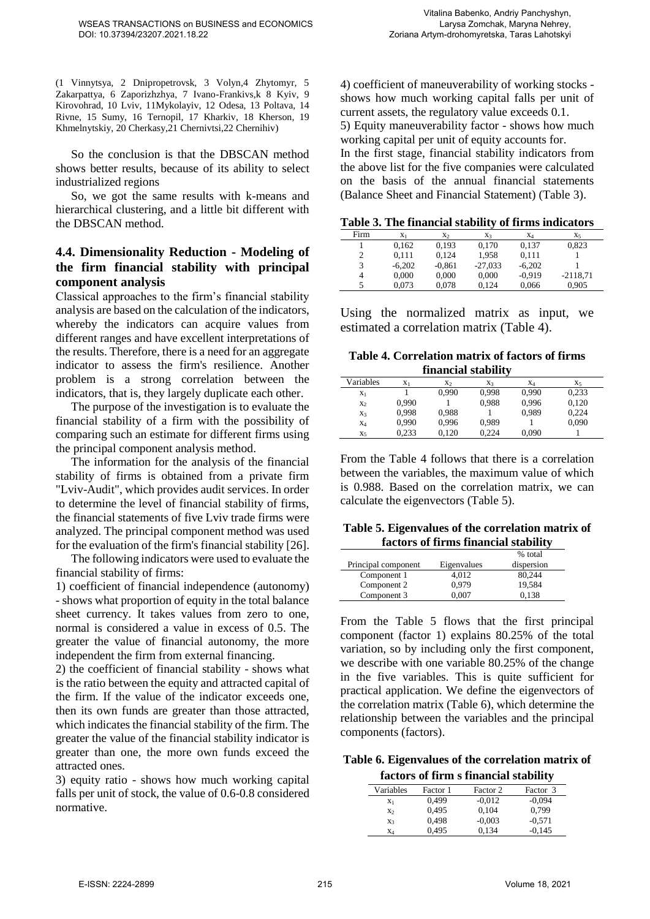(1 Vinnytsya, 2 Dnipropetrovsk, 3 Volyn,4 Zhytomyr, 5 Zakarpattya, 6 Zaporizhzhya, 7 Ivano-Frankivs,k 8 Kyiv, 9 Kirovohrad, 10 Lviv, 11Mykolayiv, 12 Odesa, 13 Poltava, 14 Rivne, 15 Sumy, 16 Ternopil, 17 Kharkiv, 18 Kherson, 19 Khmelnytskiy, 20 Cherkasy,21 Chernivtsi,22 Chernihiv)

So the conclusion is that the DBSCAN method shows better results, because of its ability to select industrialized regions

So, we got the same results with k-means and hierarchical clustering, and a little bit different with the DBSCAN method.

## **4.4. Dimensionality Reduction - Modeling of the firm financial stability with principal component analysis**

Classical approaches to the firm's financial stability analysis are based on the calculation of the indicators, whereby the indicators can acquire values from different ranges and have excellent interpretations of the results. Therefore, there is a need for an aggregate indicator to assess the firm's resilience. Another problem is a strong correlation between the indicators, that is, they largely duplicate each other.

The purpose of the investigation is to evaluate the financial stability of a firm with the possibility of comparing such an estimate for different firms using the principal component analysis method.

The information for the analysis of the financial stability of firms is obtained from a private firm "Lviv-Audit", which provides audit services. In order to determine the level of financial stability of firms, the financial statements of five Lviv trade firms were analyzed. The principal component method was used for the evaluation of the firm's financial stability [26].

The following indicators were used to evaluate the financial stability of firms:

1) coefficient of financial independence (autonomy) - shows what proportion of equity in the total balance sheet currency. It takes values from zero to one, normal is considered a value in excess of 0.5. The greater the value of financial autonomy, the more independent the firm from external financing.

2) the coefficient of financial stability - shows what is the ratio between the equity and attracted capital of the firm. If the value of the indicator exceeds one, then its own funds are greater than those attracted, which indicates the financial stability of the firm. The greater the value of the financial stability indicator is greater than one, the more own funds exceed the attracted ones.

3) equity ratio - shows how much working capital falls per unit of stock, the value of 0.6-0.8 considered normative.

4) coefficient of maneuverability of working stocks shows how much working capital falls per unit of current assets, the regulatory value exceeds 0.1. 5) Equity maneuverability factor - shows how much working capital per unit of equity accounts for. In the first stage, financial stability indicators from the above list for the five companies were calculated on the basis of the annual financial statements (Balance Sheet and Financial Statement) (Table 3).

**Table 3. The financial stability of firms indicators**

| Firm | $X_1$    | X <sub>2</sub> | $X_3$     | X <sub>4</sub> | X <sub>5</sub> |
|------|----------|----------------|-----------|----------------|----------------|
|      | 0.162    | 0.193          | 0.170     | 0.137          | 0,823          |
| 2    | 0.111    | 0.124          | 1.958     | 0.111          |                |
| 3    | $-6.202$ | $-0.861$       | $-27,033$ | $-6.202$       |                |
| 4    | 0.000    | 0.000          | 0.000     | $-0.919$       | $-2118.71$     |
|      | 0.073    | 0.078          | 0.124     | 0.066          | 0.905          |

Using the normalized matrix as input, we estimated a correlation matrix (Table 4).

**Table 4. Correlation matrix of factors of firms financial stability**

| Variables      | $X_1$ | X <sub>2</sub> | $X_3$ | X4    | X <sub>5</sub> |
|----------------|-------|----------------|-------|-------|----------------|
| $X_1$          |       | 0.990          | 0.998 | 0.990 | 0,233          |
| $X_2$          | 0.990 |                | 0.988 | 0.996 | 0,120          |
| $X_3$          | 0.998 | 0.988          |       | 0,989 | 0.224          |
| $X_4$          | 0.990 | 0.996          | 0.989 |       | 0,090          |
| X <sub>5</sub> | 0.233 | 0.120          | 0.224 | 0.090 |                |

From the Table 4 follows that there is a correlation between the variables, the maximum value of which is 0.988. Based on the correlation matrix, we can calculate the eigenvectors (Table 5).

#### **Table 5. Eigenvalues of the correlation matrix of factors of firms financial stability**

|                     |             | % total    |
|---------------------|-------------|------------|
| Principal component | Eigenvalues | dispersion |
| Component 1         | 4.012       | 80.244     |
| Component 2         | 0.979       | 19,584     |
| Component 3         | 0.007       | 0.138      |

From the Table 5 flows that the first principal component (factor 1) explains 80.25% of the total variation, so by including only the first component, we describe with one variable 80.25% of the change in the five variables. This is quite sufficient for practical application. We define the eigenvectors of the correlation matrix (Table 6), which determine the relationship between the variables and the principal components (factors).

**Table 6. Eigenvalues of the correlation matrix of factors of firm s financial stability**

|                |          | Tactors of them s thiancial stability |          |  |
|----------------|----------|---------------------------------------|----------|--|
| Variables      | Factor 1 | Factor 2                              | Factor 3 |  |
| X <sub>1</sub> | 0.499    | $-0.012$                              | $-0.094$ |  |
| X <sub>2</sub> | 0,495    | 0.104                                 | 0.799    |  |
| $X_3$          | 0,498    | $-0,003$                              | $-0.571$ |  |
| X4             | 0.495    | 0.134                                 | $-0.145$ |  |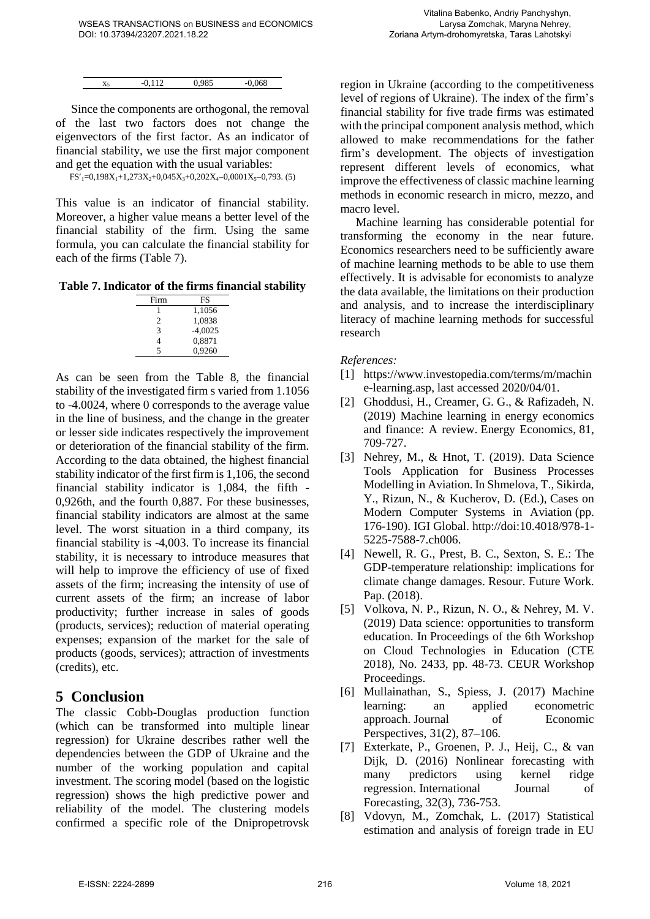| X <sub>5</sub> | $-0.112$ | 0,985 | $-0.068$ |
|----------------|----------|-------|----------|

Since the components are orthogonal, the removal of the last two factors does not change the eigenvectors of the first factor. As an indicator of financial stability, we use the first major component and get the equation with the usual variables:

 $FS'_{1}=0,198X_{1}+1,273X_{2}+0,045X_{3}+0,202X_{4}-0,0001X_{5}-0,793.$  (5)

This value is an indicator of financial stability. Moreover, a higher value means a better level of the financial stability of the firm. Using the same formula, you can calculate the financial stability for each of the firms (Table 7).

**Table 7. Indicator of the firms financial stability**

| Firm | FS        |
|------|-----------|
|      | 1,1056    |
| 2    | 1,0838    |
| 3    | $-4,0025$ |
| 4    | 0,8871    |
| 5    | 0.9260    |
|      |           |

As can be seen from the Table 8, the financial stability of the investigated firm s varied from 1.1056 to -4.0024, where 0 corresponds to the average value in the line of business, and the change in the greater or lesser side indicates respectively the improvement or deterioration of the financial stability of the firm. According to the data obtained, the highest financial stability indicator of the first firm is 1,106, the second financial stability indicator is 1,084, the fifth - 0,926th, and the fourth 0,887. For these businesses, financial stability indicators are almost at the same level. The worst situation in a third company, its financial stability is -4,003. To increase its financial stability, it is necessary to introduce measures that will help to improve the efficiency of use of fixed assets of the firm; increasing the intensity of use of current assets of the firm; an increase of labor productivity; further increase in sales of goods (products, services); reduction of material operating expenses; expansion of the market for the sale of products (goods, services); attraction of investments (credits), etc.

## **5 Conclusion**

The classic Cobb-Douglas production function (which can be transformed into multiple linear regression) for Ukraine describes rather well the dependencies between the GDP of Ukraine and the number of the working population and capital investment. The scoring model (based on the logistic regression) shows the high predictive power and reliability of the model. The clustering models confirmed a specific role of the Dnipropetrovsk region in Ukraine (according to the competitiveness level of regions of Ukraine). The index of the firm's financial stability for five trade firms was estimated with the principal component analysis method, which allowed to make recommendations for the father firm's development. The objects of investigation represent different levels of economics, what improve the effectiveness of classic machine learning methods in economic research in micro, mezzo, and macro level.

Machine learning has considerable potential for transforming the economy in the near future. Economics researchers need to be sufficiently aware of machine learning methods to be able to use them effectively. It is advisable for economists to analyze the data available, the limitations on their production and analysis, and to increase the interdisciplinary literacy of machine learning methods for successful research

*References:* 

- [1] [https://www.investopedia.com/terms/m/machin](https://www.investopedia.com/terms/m/machine-learning.asp) [e-learning.asp,](https://www.investopedia.com/terms/m/machine-learning.asp) last accessed 2020/04/01.
- [2] Ghoddusi, H., Creamer, G. G., & Rafizadeh, N. (2019) Machine learning in energy economics and finance: A review. Energy Economics, 81, 709-727.
- [3] Nehrey, M., & Hnot, T. (2019). Data Science Tools Application for Business Processes Modelling in Aviation. In Shmelova, T., Sikirda, Y., Rizun, N., & Kucherov, D. (Ed.), Cases on Modern Computer Systems in Aviation (pp. 176-190). IGI Global. http://doi:10.4018/978-1- 5225-7588-7.ch006.
- [4] Newell, R. G., Prest, B. C., Sexton, S. E.: The GDP-temperature relationship: implications for climate change damages. Resour. Future Work. Pap. (2018).
- [5] Volkova, N. P., Rizun, N. O., & Nehrey, M. V. (2019) Data science: opportunities to transform education. In Proceedings of the 6th Workshop on Cloud Technologies in Education (CTE 2018), No. 2433, pp. 48-73. CEUR Workshop Proceedings.
- [6] Mullainathan, S., Spiess, J. (2017) Machine learning: an applied econometric approach. Journal of Economic Perspectives, 31(2), 87–106.
- [7] Exterkate, P., Groenen, P. J., Heij, C., & van Dijk, D. (2016) Nonlinear forecasting with many predictors using kernel ridge regression. International Journal of Forecasting, 32(3), 736-753.
- [8] Vdovyn, M., Zomchak, L. (2017) Statistical estimation and analysis of foreign trade in EU